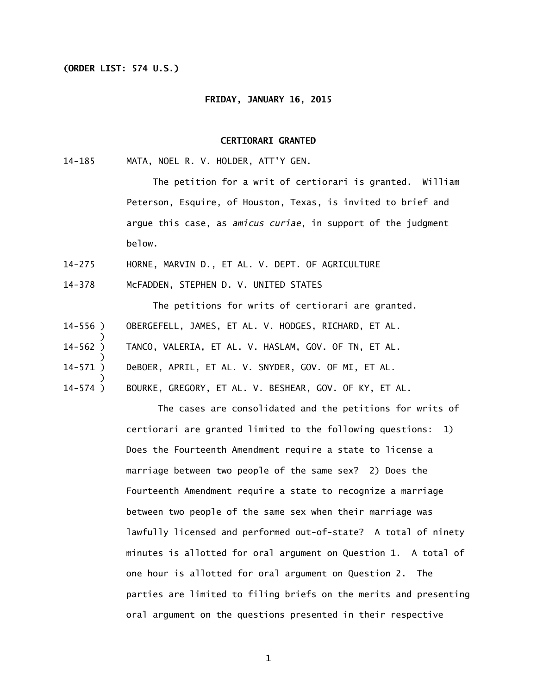## **(ORDER LIST: 574 U.S.)**

## **FRIDAY, JANUARY 16, 2015**

## **CERTIORARI GRANTED**

 $14 - 185$ MATA, NOEL R. V. HOLDER, ATT'Y GEN.

> The petition for a writ of certiorari is granted. William Peterson, Esquire, of Houston, Texas, is invited to brief and argue this case, as *amicus curiae*, in support of the judgment below.

- $14 275$ HORNE, MARVIN D., ET AL. V. DEPT. OF AGRICULTURE
- $14 378$ McFADDEN, STEPHEN D. V. UNITED STATES

 The petitions for writs of certiorari are granted. 14-556 ) ) 14-562 ) ) 14-571 ) ) 14-574 ) OBERGEFELL, JAMES, ET AL. V. HODGES, RICHARD, ET AL. TANCO, VALERIA, ET AL. V. HASLAM, GOV. OF TN, ET AL. DeBOER, APRIL, ET AL. V. SNYDER, GOV. OF MI, ET AL. BOURKE, GREGORY, ET AL. V. BESHEAR, GOV. OF KY, ET AL.

> The cases are consolidated and the petitions for writs of certiorari are granted limited to the following questions: 1) Does the Fourteenth Amendment require a state to license a marriage between two people of the same sex? 2) Does the Fourteenth Amendment require a state to recognize a marriage between two people of the same sex when their marriage was lawfully licensed and performed out-of-state? A total of ninety minutes is allotted for oral argument on Question 1. A total of one hour is allotted for oral argument on Question 2. The parties are limited to filing briefs on the merits and presenting oral argument on the questions presented in their respective

> > 1